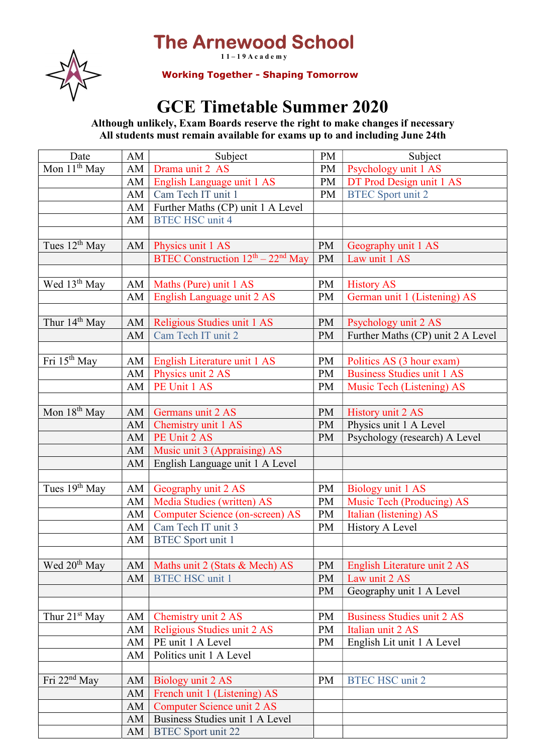## The Arnewood School  $11 - 19$  A c a d e m y



Working Together - Shaping Tomorrow

## GCE Timetable Summer 2020

Although unlikely, Exam Boards reserve the right to make changes if necessary All students must remain available for exams up to and including June 24th

| Date                      | AM | Subject                                   | PM        | Subject                           |
|---------------------------|----|-------------------------------------------|-----------|-----------------------------------|
| Mon $11th$ May            | AM | Drama unit 2 AS                           | PM        | Psychology unit 1 AS              |
|                           | AM | English Language unit 1 AS                | PM        | DT Prod Design unit 1 AS          |
|                           | AM | Cam Tech IT unit 1                        | PM        | <b>BTEC</b> Sport unit 2          |
|                           | AM | Further Maths (CP) unit 1 A Level         |           |                                   |
|                           | AM | <b>BTEC HSC unit 4</b>                    |           |                                   |
|                           |    |                                           |           |                                   |
| Tues $12^{th}$ May        | AM | Physics unit 1 AS                         | PM        | Geography unit 1 AS               |
|                           |    | BTEC Construction $12^{th} - 22^{nd}$ May | <b>PM</b> | Law unit 1 AS                     |
|                           |    |                                           |           |                                   |
| Wed 13 <sup>th</sup> May  | AM | Maths (Pure) unit 1 AS                    | <b>PM</b> | <b>History AS</b>                 |
|                           | AM | English Language unit 2 AS                | <b>PM</b> | German unit 1 (Listening) AS      |
|                           |    |                                           |           |                                   |
| Thur 14 <sup>th</sup> May | AM | Religious Studies unit 1 AS               | <b>PM</b> | Psychology unit 2 AS              |
|                           | AM | Cam Tech IT unit 2                        | <b>PM</b> | Further Maths (CP) unit 2 A Level |
|                           |    |                                           |           |                                   |
| Fri $15th$ May            | AM | English Literature unit 1 AS              | <b>PM</b> | Politics AS (3 hour exam)         |
|                           | AM | Physics unit 2 AS                         | <b>PM</b> | <b>Business Studies unit 1 AS</b> |
|                           | AM | PE Unit 1 AS                              | PM        | Music Tech (Listening) AS         |
|                           |    |                                           |           |                                   |
| Mon $18th$ May            | AM | Germans unit 2 AS                         | PM        | History unit 2 AS                 |
|                           | AM | Chemistry unit 1 AS                       | PM        | Physics unit 1 A Level            |
|                           | AM | PE Unit 2 AS                              | <b>PM</b> | Psychology (research) A Level     |
|                           | AM | Music unit 3 (Appraising) AS              |           |                                   |
|                           | AM | English Language unit 1 A Level           |           |                                   |
|                           |    |                                           |           |                                   |
| Tues $19th$ May           | AM | Geography unit 2 AS                       | <b>PM</b> | Biology unit 1 AS                 |
|                           | AM | Media Studies (written) AS                | PM        | Music Tech (Producing) AS         |
|                           | AM | <b>Computer Science (on-screen) AS</b>    | PM        | Italian (listening) AS            |
|                           | AM | Cam Tech IT unit 3                        | <b>PM</b> | History A Level                   |
|                           | AM | <b>BTEC</b> Sport unit 1                  |           |                                   |
|                           |    |                                           |           |                                   |
| Wed $20th$ May            | AM | Maths unit 2 (Stats & Mech) AS            | <b>PM</b> | English Literature unit 2 AS      |
|                           | AM | <b>BTEC HSC unit 1</b>                    | PM        | Law unit 2 AS                     |
|                           |    |                                           | PM        | Geography unit 1 A Level          |
|                           |    |                                           |           |                                   |
| Thur $21st$ May           | AM | Chemistry unit 2 AS                       | PM        | <b>Business Studies unit 2 AS</b> |
|                           | AM | Religious Studies unit 2 AS               | <b>PM</b> | Italian unit 2 AS                 |
|                           | AM | PE unit 1 A Level                         | <b>PM</b> | English Lit unit 1 A Level        |
|                           | AM | Politics unit 1 A Level                   |           |                                   |
|                           |    |                                           |           |                                   |
| Fri $22nd$ May            | AM | Biology unit 2 AS                         | PM        | <b>BTEC HSC unit 2</b>            |
|                           | AM | French unit 1 (Listening) AS              |           |                                   |
|                           | AM | Computer Science unit 2 AS                |           |                                   |
|                           | AM | Business Studies unit 1 A Level           |           |                                   |
|                           | AM | <b>BTEC</b> Sport unit 22                 |           |                                   |